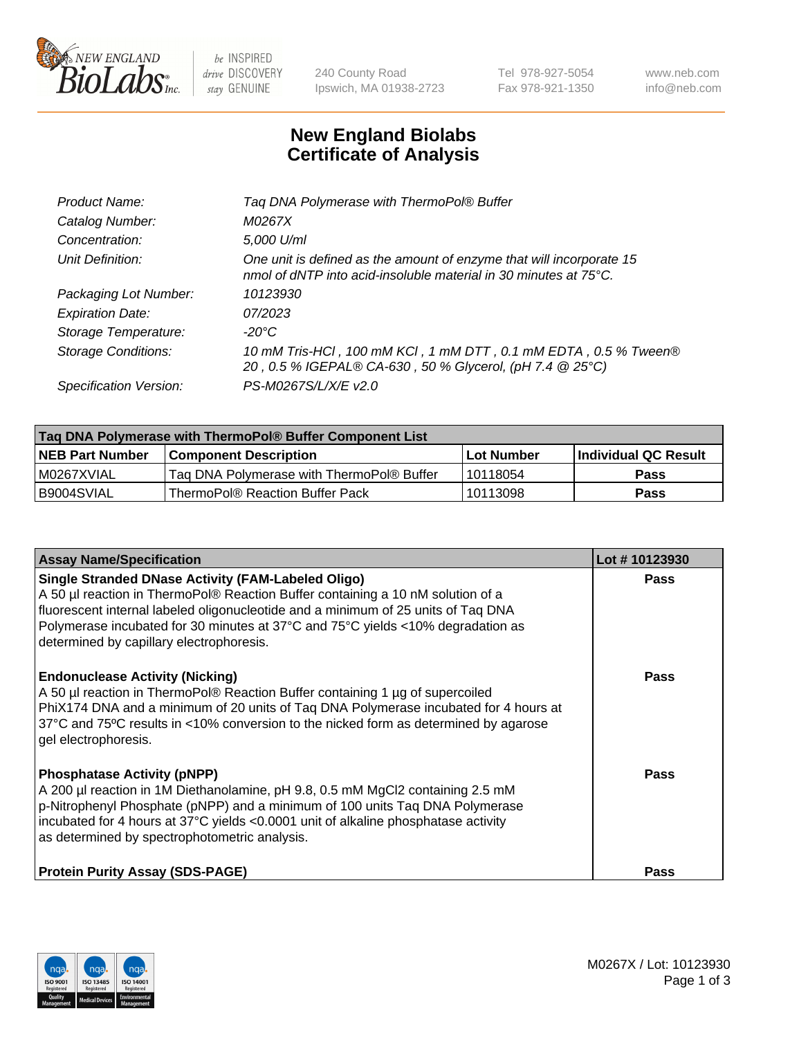

be INSPIRED drive DISCOVERY stay GENUINE

240 County Road Ipswich, MA 01938-2723 Tel 978-927-5054 Fax 978-921-1350 www.neb.com info@neb.com

## **New England Biolabs Certificate of Analysis**

| Tag DNA Polymerase with ThermoPol® Buffer                                                                                                |
|------------------------------------------------------------------------------------------------------------------------------------------|
| M0267X                                                                                                                                   |
| 5,000 U/ml                                                                                                                               |
| One unit is defined as the amount of enzyme that will incorporate 15<br>nmol of dNTP into acid-insoluble material in 30 minutes at 75°C. |
| 10123930                                                                                                                                 |
| 07/2023                                                                                                                                  |
| $-20^{\circ}$ C                                                                                                                          |
| 10 mM Tris-HCl, 100 mM KCl, 1 mM DTT, 0.1 mM EDTA, 0.5 % Tween®<br>20, 0.5 % IGEPAL® CA-630, 50 % Glycerol, (pH 7.4 @ 25°C)              |
| PS-M0267S/L/X/E v2.0                                                                                                                     |
|                                                                                                                                          |

| Tag DNA Polymerase with ThermoPol® Buffer Component List |                                           |             |                      |  |
|----------------------------------------------------------|-------------------------------------------|-------------|----------------------|--|
| <b>NEB Part Number</b>                                   | <b>Component Description</b>              | ∣Lot Number | Individual QC Result |  |
| IM0267XVIAL                                              | Tag DNA Polymerase with ThermoPol® Buffer | 10118054    | <b>Pass</b>          |  |
| I B9004SVIAL                                             | ThermoPol® Reaction Buffer Pack           | 10113098    | Pass                 |  |

| <b>Assay Name/Specification</b>                                                                                                                                                                                                                                                                                                                                  | Lot #10123930 |
|------------------------------------------------------------------------------------------------------------------------------------------------------------------------------------------------------------------------------------------------------------------------------------------------------------------------------------------------------------------|---------------|
| <b>Single Stranded DNase Activity (FAM-Labeled Oligo)</b><br>A 50 µl reaction in ThermoPol® Reaction Buffer containing a 10 nM solution of a<br>fluorescent internal labeled oligonucleotide and a minimum of 25 units of Taq DNA<br>Polymerase incubated for 30 minutes at 37°C and 75°C yields <10% degradation as<br>determined by capillary electrophoresis. | Pass          |
| <b>Endonuclease Activity (Nicking)</b><br>A 50 µl reaction in ThermoPol® Reaction Buffer containing 1 µg of supercoiled<br>PhiX174 DNA and a minimum of 20 units of Taq DNA Polymerase incubated for 4 hours at<br>37°C and 75°C results in <10% conversion to the nicked form as determined by agarose<br>gel electrophoresis.                                  | Pass          |
| <b>Phosphatase Activity (pNPP)</b><br>A 200 µl reaction in 1M Diethanolamine, pH 9.8, 0.5 mM MgCl2 containing 2.5 mM<br>p-Nitrophenyl Phosphate (pNPP) and a minimum of 100 units Taq DNA Polymerase<br>incubated for 4 hours at 37°C yields <0.0001 unit of alkaline phosphatase activity<br>as determined by spectrophotometric analysis.                      | Pass          |
| <b>Protein Purity Assay (SDS-PAGE)</b>                                                                                                                                                                                                                                                                                                                           | Pass          |

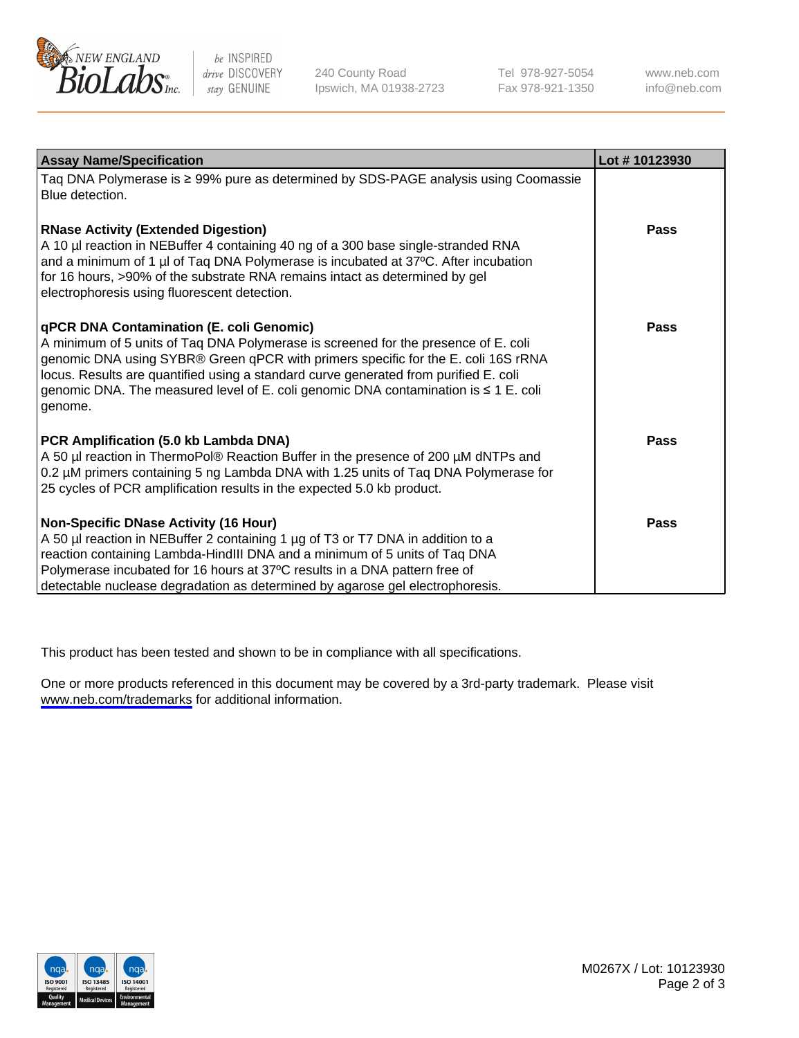

be INSPIRED drive DISCOVERY stay GENUINE

240 County Road Ipswich, MA 01938-2723 Tel 978-927-5054 Fax 978-921-1350

www.neb.com info@neb.com

| <b>Assay Name/Specification</b>                                                                                                                                                                                                                                                                                                                                                                               | Lot #10123930 |
|---------------------------------------------------------------------------------------------------------------------------------------------------------------------------------------------------------------------------------------------------------------------------------------------------------------------------------------------------------------------------------------------------------------|---------------|
| Taq DNA Polymerase is ≥ 99% pure as determined by SDS-PAGE analysis using Coomassie<br>Blue detection.                                                                                                                                                                                                                                                                                                        |               |
| <b>RNase Activity (Extended Digestion)</b><br>A 10 µl reaction in NEBuffer 4 containing 40 ng of a 300 base single-stranded RNA<br>and a minimum of 1 $\mu$ of Taq DNA Polymerase is incubated at 37 $\degree$ C. After incubation<br>for 16 hours, >90% of the substrate RNA remains intact as determined by gel<br>electrophoresis using fluorescent detection.                                             | Pass          |
| qPCR DNA Contamination (E. coli Genomic)<br>A minimum of 5 units of Taq DNA Polymerase is screened for the presence of E. coli<br>genomic DNA using SYBR® Green qPCR with primers specific for the E. coli 16S rRNA<br>locus. Results are quantified using a standard curve generated from purified E. coli<br>genomic DNA. The measured level of E. coli genomic DNA contamination is ≤ 1 E. coli<br>genome. | Pass          |
| PCR Amplification (5.0 kb Lambda DNA)<br>A 50 µl reaction in ThermoPol® Reaction Buffer in the presence of 200 µM dNTPs and<br>0.2 µM primers containing 5 ng Lambda DNA with 1.25 units of Taq DNA Polymerase for<br>25 cycles of PCR amplification results in the expected 5.0 kb product.                                                                                                                  | <b>Pass</b>   |
| <b>Non-Specific DNase Activity (16 Hour)</b><br>A 50 µl reaction in NEBuffer 2 containing 1 µg of T3 or T7 DNA in addition to a<br>reaction containing Lambda-HindIII DNA and a minimum of 5 units of Taq DNA<br>Polymerase incubated for 16 hours at 37°C results in a DNA pattern free of<br>detectable nuclease degradation as determined by agarose gel electrophoresis.                                  | <b>Pass</b>   |

This product has been tested and shown to be in compliance with all specifications.

One or more products referenced in this document may be covered by a 3rd-party trademark. Please visit <www.neb.com/trademarks>for additional information.